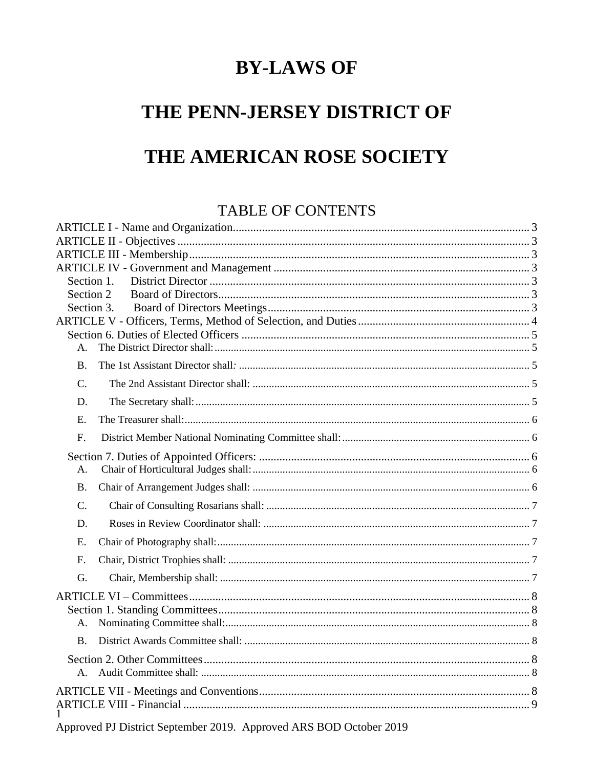# **BY-LAWS OF**

# THE PENN-JERSEY DISTRICT OF THE AMERICAN ROSE SOCIETY

# TABLE OF CONTENTS

| Section 1.     |  |  |
|----------------|--|--|
| Section 2      |  |  |
| Section 3.     |  |  |
|                |  |  |
| А.             |  |  |
|                |  |  |
| <b>B.</b>      |  |  |
| $\mathbf{C}$ . |  |  |
| D.             |  |  |
| Ε.             |  |  |
| $F_{\cdot}$    |  |  |
|                |  |  |
| А.             |  |  |
| <b>B.</b>      |  |  |
| C.             |  |  |
| D.             |  |  |
| E.             |  |  |
| F.             |  |  |
| G.             |  |  |
|                |  |  |
|                |  |  |
| A.             |  |  |
| <b>B.</b>      |  |  |
|                |  |  |
| A.             |  |  |
|                |  |  |
|                |  |  |
|                |  |  |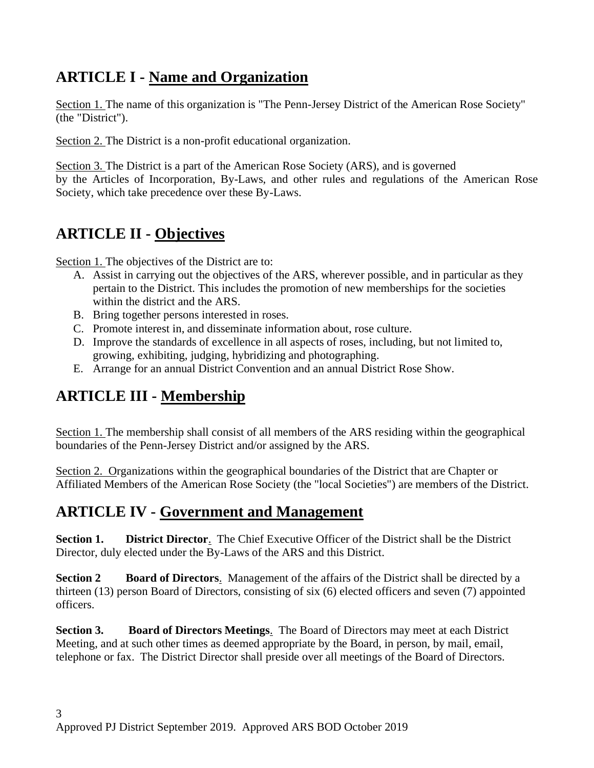# <span id="page-2-0"></span>**ARTICLE I - Name and Organization**

Section 1. The name of this organization is "The Penn-Jersey District of the American Rose Society" (the "District").

Section 2. The District is a non-profit educational organization.

Section 3. The District is a part of the American Rose Society (ARS), and is governed by the Articles of Incorporation, By-Laws, and other rules and regulations of the American Rose Society, which take precedence over these By-Laws.

# <span id="page-2-1"></span>**ARTICLE II - Objectives**

Section 1. The objectives of the District are to:

- A. Assist in carrying out the objectives of the ARS, wherever possible, and in particular as they pertain to the District. This includes the promotion of new memberships for the societies within the district and the ARS.
- B. Bring together persons interested in roses.
- C. Promote interest in, and disseminate information about, rose culture.
- D. Improve the standards of excellence in all aspects of roses, including, but not limited to, growing, exhibiting, judging, hybridizing and photographing.
- E. Arrange for an annual District Convention and an annual District Rose Show.

# <span id="page-2-2"></span>**ARTICLE III - Membership**

Section 1. The membership shall consist of all members of the ARS residing within the geographical boundaries of the Penn-Jersey District and/or assigned by the ARS.

Section 2. Organizations within the geographical boundaries of the District that are Chapter or Affiliated Members of the American Rose Society (the "local Societies") are members of the District.

# <span id="page-2-3"></span>**ARTICLE IV - Government and Management**

<span id="page-2-4"></span>**Section 1. District Director**. The Chief Executive Officer of the District shall be the District Director, duly elected under the By-Laws of the ARS and this District.

<span id="page-2-5"></span>**Section 2 Board of Directors**. Management of the affairs of the District shall be directed by a thirteen (13) person Board of Directors, consisting of six (6) elected officers and seven (7) appointed officers.

<span id="page-2-6"></span>**Section 3. Board of Directors Meetings**. The Board of Directors may meet at each District Meeting, and at such other times as deemed appropriate by the Board, in person, by mail, email, telephone or fax. The District Director shall preside over all meetings of the Board of Directors.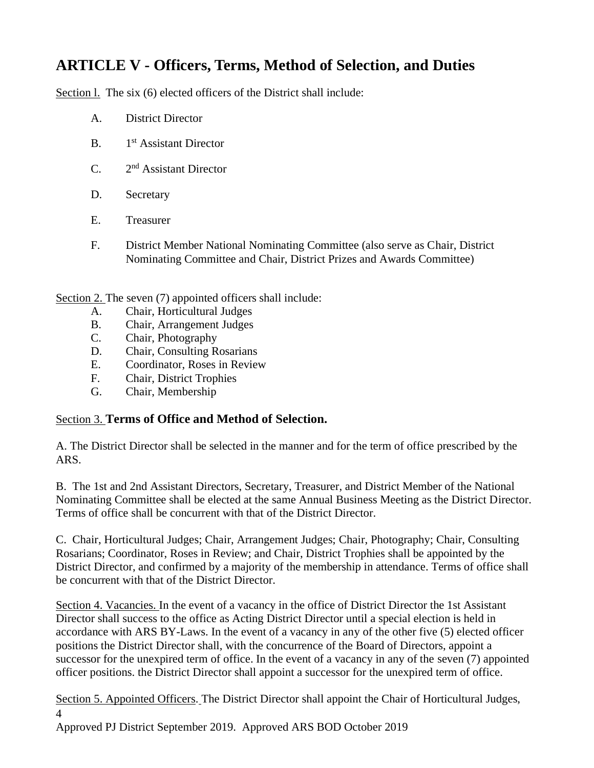# <span id="page-3-0"></span>**ARTICLE V - Officers, Terms, Method of Selection, and Duties**

Section 1. The six (6) elected officers of the District shall include:

- A. District Director
- $B<sub>1</sub>$ 1<sup>st</sup> Assistant Director
- $C_{2}$ 2<sup>nd</sup> Assistant Director
- D. Secretary
- E. Treasurer
- F. District Member National Nominating Committee (also serve as Chair, District Nominating Committee and Chair, District Prizes and Awards Committee)

Section 2. The seven (7) appointed officers shall include:

- A. Chair, Horticultural Judges
- B. Chair, Arrangement Judges
- C. Chair, Photography
- D. Chair, Consulting Rosarians
- E. Coordinator, Roses in Review
- F. Chair, District Trophies
- G. Chair, Membership

#### Section 3. **Terms of Office and Method of Selection.**

A. The District Director shall be selected in the manner and for the term of office prescribed by the ARS.

B. The 1st and 2nd Assistant Directors, Secretary, Treasurer, and District Member of the National Nominating Committee shall be elected at the same Annual Business Meeting as the District Director. Terms of office shall be concurrent with that of the District Director.

C. Chair, Horticultural Judges; Chair, Arrangement Judges; Chair, Photography; Chair, Consulting Rosarians; Coordinator, Roses in Review; and Chair, District Trophies shall be appointed by the District Director, and confirmed by a majority of the membership in attendance. Terms of office shall be concurrent with that of the District Director.

Section 4. Vacancies. In the event of a vacancy in the office of District Director the 1st Assistant Director shall success to the office as Acting District Director until a special election is held in accordance with ARS BY-Laws. In the event of a vacancy in any of the other five (5) elected officer positions the District Director shall, with the concurrence of the Board of Directors, appoint a successor for the unexpired term of office. In the event of a vacancy in any of the seven (7) appointed officer positions. the District Director shall appoint a successor for the unexpired term of office.

4 Section 5. Appointed Officers. The District Director shall appoint the Chair of Horticultural Judges.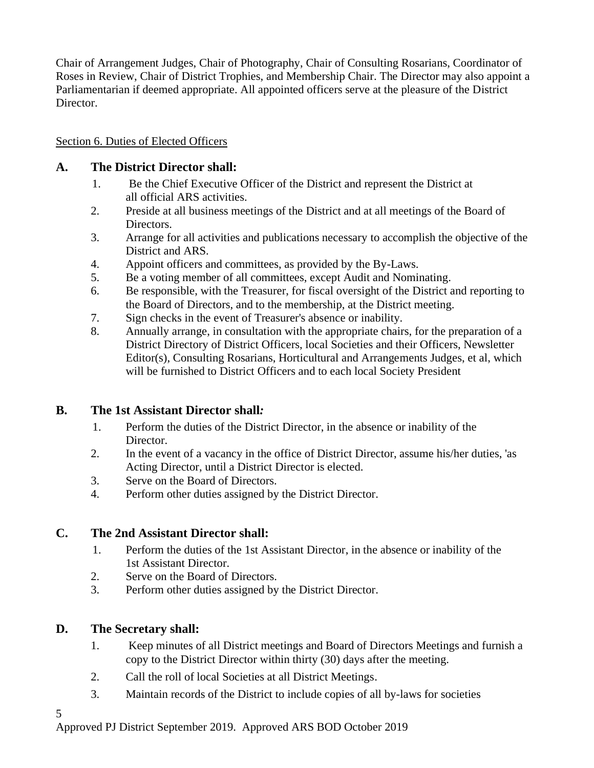Chair of Arrangement Judges, Chair of Photography, Chair of Consulting Rosarians, Coordinator of Roses in Review, Chair of District Trophies, and Membership Chair. The Director may also appoint a Parliamentarian if deemed appropriate. All appointed officers serve at the pleasure of the District Director.

## <span id="page-4-0"></span>Section 6. Duties of Elected Officers

## <span id="page-4-1"></span>**A. The District Director shall:**

- 1. Be the Chief Executive Officer of the District and represent the District at all official ARS activities.
- 2. Preside at all business meetings of the District and at all meetings of the Board of Directors.
- 3. Arrange for all activities and publications necessary to accomplish the objective of the District and ARS.
- 4. Appoint officers and committees, as provided by the By-Laws.
- 5. Be a voting member of all committees, except Audit and Nominating.
- 6. Be responsible, with the Treasurer, for fiscal oversight of the District and reporting to the Board of Directors, and to the membership, at the District meeting.
- 7. Sign checks in the event of Treasurer's absence or inability.
- 8. Annually arrange, in consultation with the appropriate chairs, for the preparation of a District Directory of District Officers, local Societies and their Officers, Newsletter Editor(s), Consulting Rosarians, Horticultural and Arrangements Judges, et al, which will be furnished to District Officers and to each local Society President

# <span id="page-4-2"></span>**B. The 1st Assistant Director shall***:*

- 1. Perform the duties of the District Director, in the absence or inability of the Director.
- 2. In the event of a vacancy in the office of District Director, assume his/her duties, 'as Acting Director, until a District Director is elected.
- 3. Serve on the Board of Directors.
- 4. Perform other duties assigned by the District Director.

# <span id="page-4-3"></span>**C. The 2nd Assistant Director shall:**

- 1. Perform the duties of the 1st Assistant Director, in the absence or inability of the 1st Assistant Director.
- 2. Serve on the Board of Directors.
- 3. Perform other duties assigned by the District Director.

# <span id="page-4-4"></span>**D. The Secretary shall:**

- 1. Keep minutes of all District meetings and Board of Directors Meetings and furnish a copy to the District Director within thirty (30) days after the meeting.
- 2. Call the roll of local Societies at all District Meetings.
- 3. Maintain records of the District to include copies of all by-laws for societies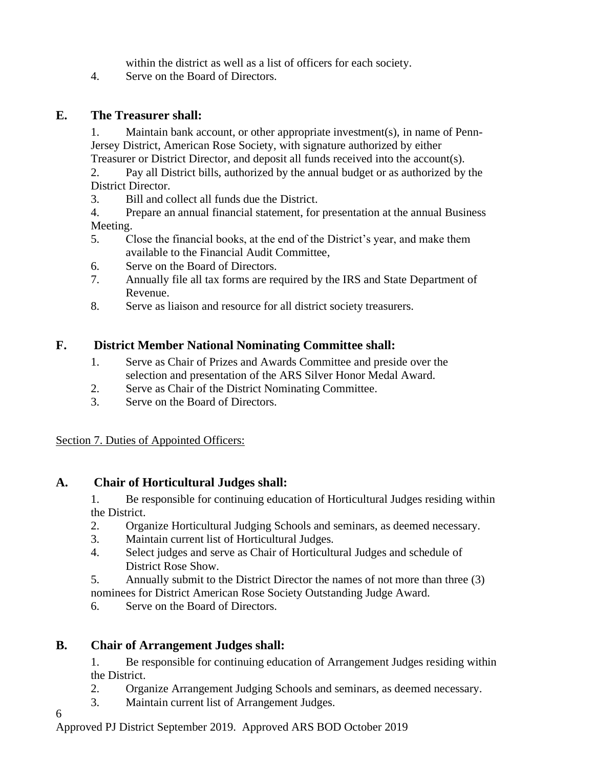within the district as well as a list of officers for each society.

4. Serve on the Board of Directors.

## <span id="page-5-0"></span>**E. The Treasurer shall:**

1. Maintain bank account, or other appropriate investment(s), in name of Penn-Jersey District, American Rose Society, with signature authorized by either

Treasurer or District Director, and deposit all funds received into the account(s).

2. Pay all District bills, authorized by the annual budget or as authorized by the District Director.

3. Bill and collect all funds due the District.

4. Prepare an annual financial statement, for presentation at the annual Business Meeting.

- 5. Close the financial books, at the end of the District's year, and make them available to the Financial Audit Committee,
- 6. Serve on the Board of Directors.
- 7. Annually file all tax forms are required by the IRS and State Department of Revenue.
- 8. Serve as liaison and resource for all district society treasurers.

# <span id="page-5-1"></span>**F. District Member National Nominating Committee shall:**

- 1. Serve as Chair of Prizes and Awards Committee and preside over the selection and presentation of the ARS Silver Honor Medal Award.
- 2. Serve as Chair of the District Nominating Committee.
- 3. Serve on the Board of Directors.

#### <span id="page-5-2"></span>Section 7. Duties of Appointed Officers:

# <span id="page-5-3"></span>**A. Chair of Horticultural Judges shall:**

1. Be responsible for continuing education of Horticultural Judges residing within the District.

- 2. Organize Horticultural Judging Schools and seminars, as deemed necessary.
- 3. Maintain current list of Horticultural Judges.
- 4. Select judges and serve as Chair of Horticultural Judges and schedule of District Rose Show.
- 5. Annually submit to the District Director the names of not more than three (3) nominees for District American Rose Society Outstanding Judge Award.
- 6. Serve on the Board of Directors.

# <span id="page-5-4"></span>**B. Chair of Arrangement Judges shall:**

6

1. Be responsible for continuing education of Arrangement Judges residing within the District.

- 2. Organize Arrangement Judging Schools and seminars, as deemed necessary.
- 3. Maintain current list of Arrangement Judges.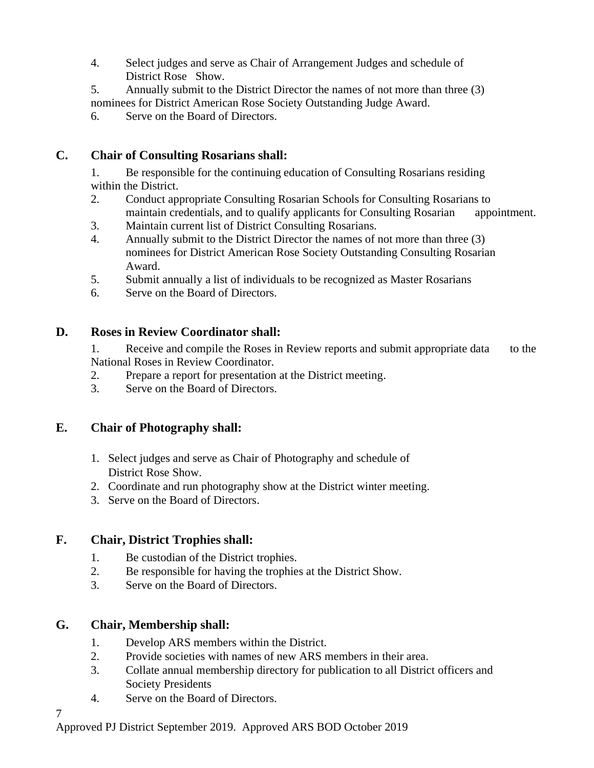- 4. Select judges and serve as Chair of Arrangement Judges and schedule of District Rose Show.
- 5. Annually submit to the District Director the names of not more than three (3) nominees for District American Rose Society Outstanding Judge Award.
- 6. Serve on the Board of Directors.

## <span id="page-6-0"></span>**C. Chair of Consulting Rosarians shall:**

1. Be responsible for the continuing education of Consulting Rosarians residing within the District.

- 2. Conduct appropriate Consulting Rosarian Schools for Consulting Rosarians to maintain credentials, and to qualify applicants for Consulting Rosarian appointment.
- 3. Maintain current list of District Consulting Rosarians.
- 4. Annually submit to the District Director the names of not more than three (3) nominees for District American Rose Society Outstanding Consulting Rosarian Award.
- 5. Submit annually a list of individuals to be recognized as Master Rosarians
- 6. Serve on the Board of Directors.

#### <span id="page-6-1"></span>**D. Roses in Review Coordinator shall:**

1. Receive and compile the Roses in Review reports and submit appropriate data to the National Roses in Review Coordinator.

- 2. Prepare a report for presentation at the District meeting.
- 3. Serve on the Board of Directors.

#### <span id="page-6-2"></span>**E. Chair of Photography shall:**

- 1. Select judges and serve as Chair of Photography and schedule of District Rose Show.
- 2. Coordinate and run photography show at the District winter meeting.
- 3. Serve on the Board of Directors.

#### <span id="page-6-3"></span>**F. Chair, District Trophies shall:**

- 1. Be custodian of the District trophies.
- 2. Be responsible for having the trophies at the District Show.
- 3. Serve on the Board of Directors.

#### <span id="page-6-4"></span>**G. Chair, Membership shall:**

- 1. Develop ARS members within the District.
- 2. Provide societies with names of new ARS members in their area.
- 3. Collate annual membership directory for publication to all District officers and Society Presidents
- 4. Serve on the Board of Directors.

7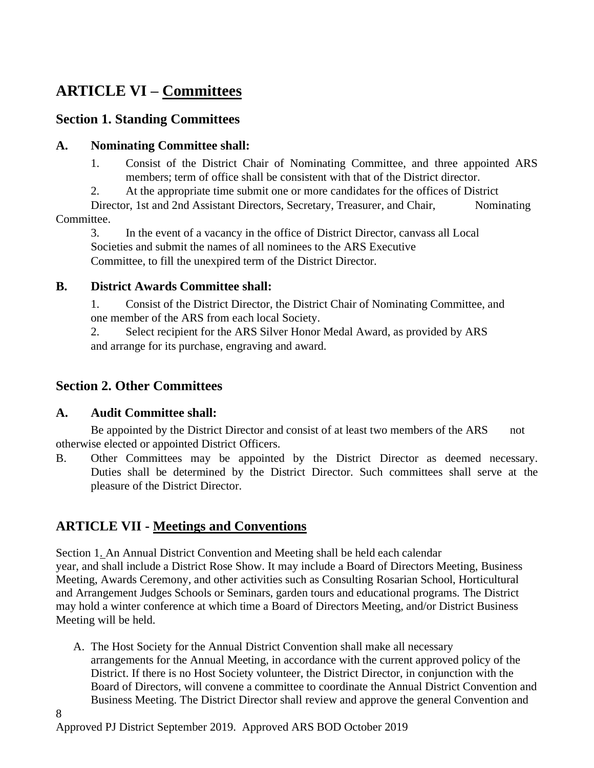# <span id="page-7-0"></span>**ARTICLE VI – Committees**

# <span id="page-7-1"></span>**Section 1. Standing Committees**

## <span id="page-7-2"></span>**A. Nominating Committee shall:**

1. Consist of the District Chair of Nominating Committee, and three appointed ARS members; term of office shall be consistent with that of the District director.

2. At the appropriate time submit one or more candidates for the offices of District Director, 1st and 2nd Assistant Directors, Secretary, Treasurer, and Chair, Nominating

Committee.

3. In the event of a vacancy in the office of District Director, canvass all Local Societies and submit the names of all nominees to the ARS Executive Committee, to fill the unexpired term of the District Director.

## <span id="page-7-3"></span>**B. District Awards Committee shall:**

1. Consist of the District Director, the District Chair of Nominating Committee, and one member of the ARS from each local Society.

2. Select recipient for the ARS Silver Honor Medal Award, as provided by ARS and arrange for its purchase, engraving and award.

# <span id="page-7-4"></span>**Section 2. Other Committees**

# <span id="page-7-5"></span>**A. Audit Committee shall:**

Be appointed by the District Director and consist of at least two members of the ARS not otherwise elected or appointed District Officers.

B. Other Committees may be appointed by the District Director as deemed necessary. Duties shall be determined by the District Director. Such committees shall serve at the pleasure of the District Director.

# <span id="page-7-6"></span>**ARTICLE VII - Meetings and Conventions**

Section 1. An Annual District Convention and Meeting shall be held each calendar year, and shall include a District Rose Show. It may include a Board of Directors Meeting, Business Meeting, Awards Ceremony, and other activities such as Consulting Rosarian School, Horticultural and Arrangement Judges Schools or Seminars, garden tours and educational programs. The District may hold a winter conference at which time a Board of Directors Meeting, and/or District Business Meeting will be held.

A. The Host Society for the Annual District Convention shall make all necessary arrangements for the Annual Meeting, in accordance with the current approved policy of the District. If there is no Host Society volunteer, the District Director, in conjunction with the Board of Directors, will convene a committee to coordinate the Annual District Convention and Business Meeting. The District Director shall review and approve the general Convention and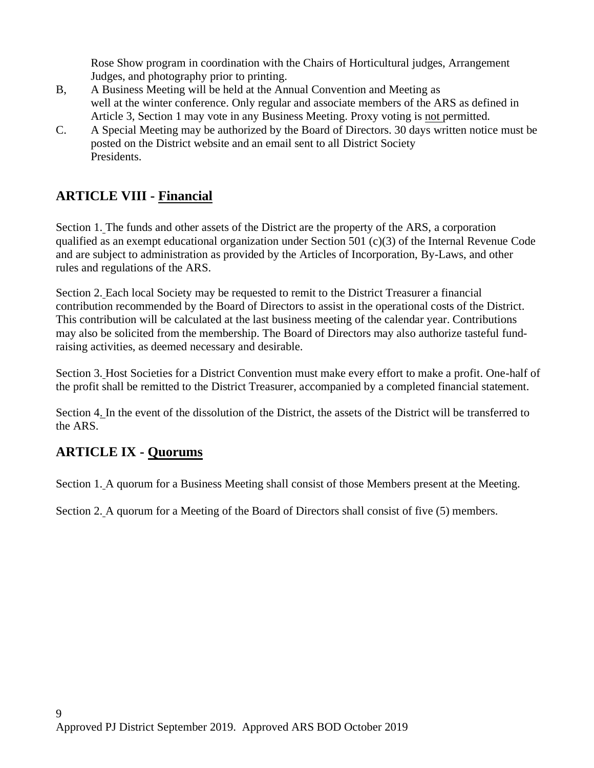Rose Show program in coordination with the Chairs of Horticultural judges, Arrangement Judges, and photography prior to printing.

- B, A Business Meeting will be held at the Annual Convention and Meeting as well at the winter conference. Only regular and associate members of the ARS as defined in Article 3, Section 1 may vote in any Business Meeting. Proxy voting is not permitted.
- C. A Special Meeting may be authorized by the Board of Directors. 30 days written notice must be posted on the District website and an email sent to all District Society Presidents.

# <span id="page-8-0"></span>**ARTICLE VIII - Financial**

Section 1. The funds and other assets of the District are the property of the ARS, a corporation qualified as an exempt educational organization under Section 501 (c)(3) of the Internal Revenue Code and are subject to administration as provided by the Articles of Incorporation, By-Laws, and other rules and regulations of the ARS.

Section 2. Each local Society may be requested to remit to the District Treasurer a financial contribution recommended by the Board of Directors to assist in the operational costs of the District. This contribution will be calculated at the last business meeting of the calendar year. Contributions may also be solicited from the membership. The Board of Directors may also authorize tasteful fundraising activities, as deemed necessary and desirable.

Section 3. Host Societies for a District Convention must make every effort to make a profit. One-half of the profit shall be remitted to the District Treasurer, accompanied by a completed financial statement.

Section 4. In the event of the dissolution of the District, the assets of the District will be transferred to the ARS.

# <span id="page-8-1"></span>**ARTICLE IX - Quorums**

Section 1. A quorum for a Business Meeting shall consist of those Members present at the Meeting.

<span id="page-8-2"></span>Section 2. A quorum for a Meeting of the Board of Directors shall consist of five (5) members.